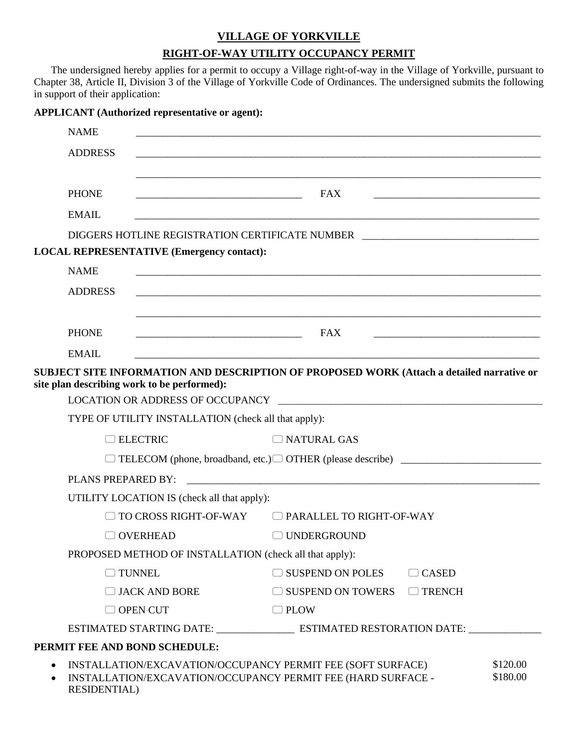### **VILLAGE OF YORKVILLE**

# **RIGHT-OF-WAY UTILITY OCCUPANCY PERMIT**

The undersigned hereby applies for a permit to occupy a Village right-of-way in the Village of Yorkville, pursuant to Chapter 38, Article II, Division 3 of the Village of Yorkville Code of Ordinances. The undersigned submits the following in support of their application:

| <b>APPLICANT</b> (Authorized representative or agent):                                                                                                                      |                                                                                                                              |              |  |  |  |  |
|-----------------------------------------------------------------------------------------------------------------------------------------------------------------------------|------------------------------------------------------------------------------------------------------------------------------|--------------|--|--|--|--|
| <b>NAME</b>                                                                                                                                                                 |                                                                                                                              |              |  |  |  |  |
| <b>ADDRESS</b>                                                                                                                                                              |                                                                                                                              |              |  |  |  |  |
|                                                                                                                                                                             |                                                                                                                              |              |  |  |  |  |
| <b>PHONE</b>                                                                                                                                                                | <b>FAX</b>                                                                                                                   |              |  |  |  |  |
| <b>EMAIL</b>                                                                                                                                                                |                                                                                                                              |              |  |  |  |  |
| DIGGERS HOTLINE REGISTRATION CERTIFICATE NUMBER ________________________________                                                                                            |                                                                                                                              |              |  |  |  |  |
| <b>LOCAL REPRESENTATIVE (Emergency contact):</b>                                                                                                                            |                                                                                                                              |              |  |  |  |  |
| <b>NAME</b>                                                                                                                                                                 |                                                                                                                              |              |  |  |  |  |
| <b>ADDRESS</b>                                                                                                                                                              |                                                                                                                              |              |  |  |  |  |
|                                                                                                                                                                             |                                                                                                                              |              |  |  |  |  |
| <b>PHONE</b>                                                                                                                                                                | FAX<br><u> 1989 - Johann Harry Harry Harry Harry Harry Harry Harry Harry Harry Harry Harry Harry Harry Harry Harry Harry</u> |              |  |  |  |  |
| <b>EMAIL</b>                                                                                                                                                                |                                                                                                                              |              |  |  |  |  |
| SUBJECT SITE INFORMATION AND DESCRIPTION OF PROPOSED WORK (Attach a detailed narrative or<br>site plan describing work to be performed):                                    |                                                                                                                              |              |  |  |  |  |
|                                                                                                                                                                             |                                                                                                                              |              |  |  |  |  |
|                                                                                                                                                                             | TYPE OF UTILITY INSTALLATION (check all that apply):                                                                         |              |  |  |  |  |
| $\Box$ ELECTRIC                                                                                                                                                             | NATURAL GAS                                                                                                                  |              |  |  |  |  |
|                                                                                                                                                                             |                                                                                                                              |              |  |  |  |  |
| PLANS PREPARED BY:                                                                                                                                                          |                                                                                                                              |              |  |  |  |  |
|                                                                                                                                                                             | UTILITY LOCATION IS (check all that apply):                                                                                  |              |  |  |  |  |
| TO CROSS RIGHT-OF-WAY                                                                                                                                                       | $\Box$ PARALLEL TO RIGHT-OF-WAY                                                                                              |              |  |  |  |  |
| <b>OVERHEAD</b>                                                                                                                                                             | □ UNDERGROUND                                                                                                                |              |  |  |  |  |
|                                                                                                                                                                             | PROPOSED METHOD OF INSTALLATION (check all that apply):                                                                      |              |  |  |  |  |
| $\Box$ TUNNEL                                                                                                                                                               | $\Box$ SUSPEND ON POLES                                                                                                      | $\Box$ CASED |  |  |  |  |
| $\Box$ JACK AND BORE                                                                                                                                                        | $\Box$ SUSPEND ON TOWERS $\Box$ TRENCH                                                                                       |              |  |  |  |  |
| $\Box$ OPEN CUT                                                                                                                                                             | $\Box$ PLOW                                                                                                                  |              |  |  |  |  |
|                                                                                                                                                                             |                                                                                                                              |              |  |  |  |  |
| PERMIT FEE AND BOND SCHEDULE:                                                                                                                                               |                                                                                                                              |              |  |  |  |  |
| \$120.00<br>INSTALLATION/EXCAVATION/OCCUPANCY PERMIT FEE (SOFT SURFACE)<br>\$180.00<br>INSTALLATION/EXCAVATION/OCCUPANCY PERMIT FEE (HARD SURFACE -<br><b>RESIDENTIAL</b> ) |                                                                                                                              |              |  |  |  |  |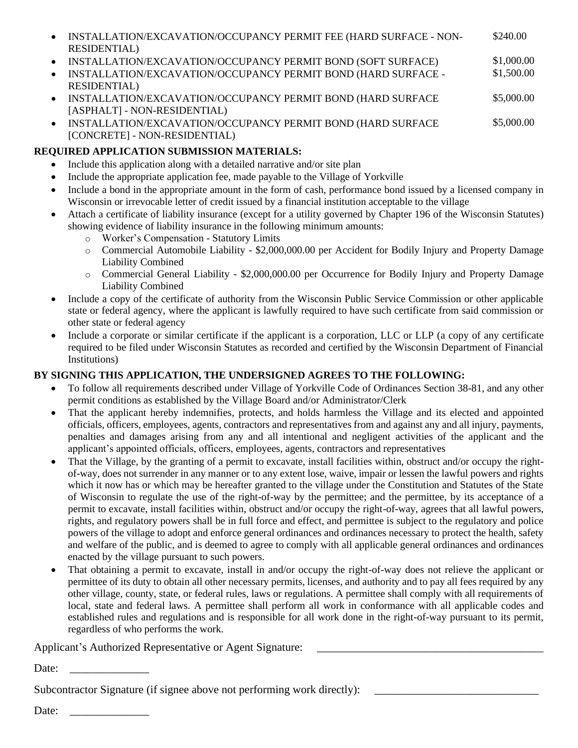| $\bullet$ | INSTALLATION/EXCAVATION/OCCUPANCY PERMIT FEE (HARD SURFACE - NON- | \$240.00   |
|-----------|-------------------------------------------------------------------|------------|
|           | RESIDENTIAL)                                                      |            |
|           | • INSTALLATION/EXCAVATION/OCCUPANCY PERMIT BOND (SOFT SURFACE)    | \$1,000.00 |
| $\bullet$ | INSTALLATION/EXCAVATION/OCCUPANCY PERMIT BOND (HARD SURFACE -     | \$1,500.00 |

- RESIDENTIAL) • INSTALLATION/EXCAVATION/OCCUPANCY PERMIT BOND (HARD SURFACE [ASPHALT] - NON-RESIDENTIAL) \$5,000.00
- INSTALLATION/EXCAVATION/OCCUPANCY PERMIT BOND (HARD SURFACE [CONCRETE] - NON-RESIDENTIAL) \$5,000.00

# **REQUIRED APPLICATION SUBMISSION MATERIALS:**

- Include this application along with a detailed narrative and/or site plan
- Include the appropriate application fee, made payable to the Village of Yorkville
- Include a bond in the appropriate amount in the form of cash, performance bond issued by a licensed company in Wisconsin or irrevocable letter of credit issued by a financial institution acceptable to the village
- Attach a certificate of liability insurance (except for a utility governed by Chapter 196 of the Wisconsin Statutes) showing evidence of liability insurance in the following minimum amounts:
	- o Worker's Compensation Statutory Limits
	- o Commercial Automobile Liability \$2,000,000.00 per Accident for Bodily Injury and Property Damage Liability Combined
	- o Commercial General Liability \$2,000,000.00 per Occurrence for Bodily Injury and Property Damage Liability Combined
- Include a copy of the certificate of authority from the Wisconsin Public Service Commission or other applicable state or federal agency, where the applicant is lawfully required to have such certificate from said commission or other state or federal agency
- Include a corporate or similar certificate if the applicant is a corporation, LLC or LLP (a copy of any certificate required to be filed under Wisconsin Statutes as recorded and certified by the Wisconsin Department of Financial Institutions)

# **BY SIGNING THIS APPLICATION, THE UNDERSIGNED AGREES TO THE FOLLOWING:**

- To follow all requirements described under Village of Yorkville Code of Ordinances Section 38-81, and any other permit conditions as established by the Village Board and/or Administrator/Clerk
- That the applicant hereby indemnifies, protects, and holds harmless the Village and its elected and appointed officials, officers, employees, agents, contractors and representatives from and against any and all injury, payments, penalties and damages arising from any and all intentional and negligent activities of the applicant and the applicant's appointed officials, officers, employees, agents, contractors and representatives
- That the Village, by the granting of a permit to excavate, install facilities within, obstruct and/or occupy the rightof-way, does not surrender in any manner or to any extent lose, waive, impair or lessen the lawful powers and rights which it now has or which may be hereafter granted to the village under the Constitution and Statutes of the State of Wisconsin to regulate the use of the right-of-way by the permittee; and the permittee, by its acceptance of a permit to excavate, install facilities within, obstruct and/or occupy the right-of-way, agrees that all lawful powers, rights, and regulatory powers shall be in full force and effect, and permittee is subject to the regulatory and police powers of the village to adopt and enforce general ordinances and ordinances necessary to protect the health, safety and welfare of the public, and is deemed to agree to comply with all applicable general ordinances and ordinances enacted by the village pursuant to such powers.
- That obtaining a permit to excavate, install in and/or occupy the right-of-way does not relieve the applicant or permittee of its duty to obtain all other necessary permits, licenses, and authority and to pay all fees required by any other village, county, state, or federal rules, laws or regulations. A permittee shall comply with all requirements of local, state and federal laws. A permittee shall perform all work in conformance with all applicable codes and established rules and regulations and is responsible for all work done in the right-of-way pursuant to its permit, regardless of who performs the work.

Applicant's Authorized Representative or Agent Signature:

Date:

Subcontractor Signature (if signee above not performing work directly):

Date: \_\_\_\_\_\_\_\_\_\_\_\_\_\_